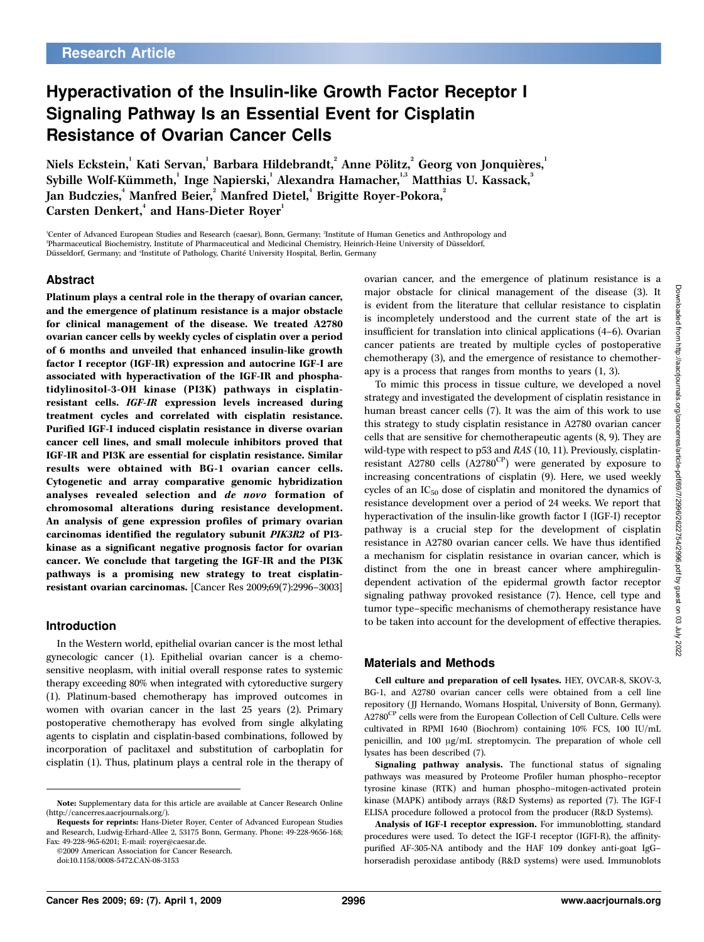# Hyperactivation of the Insulin-like Growth Factor Receptor I Signaling Pathway Is an Essential Event for Cisplatin Resistance of Ovarian Cancer Cells

Niels Eckstein, $^{\rm l}$  Kati Servan, $^{\rm l}$  Barbara Hildebrandt, $^{\rm 2}$  Anne Pölitz, $^{\rm 2}$  Georg von Jonquières, $^{\rm l}$ Sybille Wolf-Kümmeth, $^{\rm l}$  Inge Napierski, $^{\rm l}$  Alexandra Hamacher, $^{\rm l,s}$  Matthias U. Kassack, $^{\rm 3}$ Jan Budczies, $\lq$  Manfred Beier, $\lq$  Manfred Dietel, $\lq$  Brigitte Royer-Pokora, $\lq$ Carsten Denkert,<sup>4</sup> and Hans-Dieter Royer<sup>1</sup>

'Center of Advanced European Studies and Research (caesar), Bonn, Germany; <sup>2</sup>Institute of Human Genetics and Anthropology and <sup>3</sup>Pharmaceutical Biochemistry, Institute of Pharmaceutical and Medicinal Chemistry, Heinrich-Heine University of Düsseldorf, Düsseldorf, Germany; and 'Institute of Pathology, Charité University Hospital, Berlin, Germany

### Abstract

Platinum plays a central role in the therapy of ovarian cancer, and the emergence of platinum resistance is a major obstacle for clinical management of the disease. We treated A2780 ovarian cancer cells by weekly cycles of cisplatin over a period of 6 months and unveiled that enhanced insulin-like growth factor I receptor (IGF-IR) expression and autocrine IGF-I are associated with hyperactivation of the IGF-IR and phosphatidylinositol-3-OH kinase (PI3K) pathways in cisplatinresistant cells. IGF-IR expression levels increased during treatment cycles and correlated with cisplatin resistance. Purified IGF-I induced cisplatin resistance in diverse ovarian cancer cell lines, and small molecule inhibitors proved that IGF-IR and PI3K are essential for cisplatin resistance. Similar results were obtained with BG-1 ovarian cancer cells. Cytogenetic and array comparative genomic hybridization analyses revealed selection and de novo formation of chromosomal alterations during resistance development. An analysis of gene expression profiles of primary ovarian carcinomas identified the regulatory subunit PIK3R2 of PI3 kinase as a significant negative prognosis factor for ovarian cancer. We conclude that targeting the IGF-IR and the PI3K pathways is a promising new strategy to treat cisplatinresistant ovarian carcinomas. [Cancer Res 2009;69(7):2996–3003]

#### Introduction

In the Western world, epithelial ovarian cancer is the most lethal gynecologic cancer (1). Epithelial ovarian cancer is a chemosensitive neoplasm, with initial overall response rates to systemic therapy exceeding 80% when integrated with cytoreductive surgery (1). Platinum-based chemotherapy has improved outcomes in women with ovarian cancer in the last 25 years (2). Primary postoperative chemotherapy has evolved from single alkylating agents to cisplatin and cisplatin-based combinations, followed by incorporation of paclitaxel and substitution of carboplatin for cisplatin (1). Thus, platinum plays a central role in the therapy of ovarian cancer, and the emergence of platinum resistance is a major obstacle for clinical management of the disease (3). It is evident from the literature that cellular resistance to cisplatin is incompletely understood and the current state of the art is insufficient for translation into clinical applications (4–6). Ovarian cancer patients are treated by multiple cycles of postoperative chemotherapy (3), and the emergence of resistance to chemotherapy is a process that ranges from months to years (1, 3).

To mimic this process in tissue culture, we developed a novel strategy and investigated the development of cisplatin resistance in human breast cancer cells (7). It was the aim of this work to use this strategy to study cisplatin resistance in A2780 ovarian cancer cells that are sensitive for chemotherapeutic agents (8, 9). They are wild-type with respect to p53 and RAS (10, 11). Previously, cisplatinresistant A2780 cells  $(A2780^{\text{CP}})$  were generated by exposure to increasing concentrations of cisplatin (9). Here, we used weekly cycles of an  $IC_{50}$  dose of cisplatin and monitored the dynamics of resistance development over a period of 24 weeks. We report that hyperactivation of the insulin-like growth factor I (IGF-I) receptor pathway is a crucial step for the development of cisplatin resistance in A2780 ovarian cancer cells. We have thus identified a mechanism for cisplatin resistance in ovarian cancer, which is distinct from the one in breast cancer where amphiregulindependent activation of the epidermal growth factor receptor signaling pathway provoked resistance (7). Hence, cell type and tumor type–specific mechanisms of chemotherapy resistance have to be taken into account for the development of effective therapies.

#### Materials and Methods

Cell culture and preparation of cell lysates. HEY, OVCAR-8, SKOV-3, BG-1, and A2780 ovarian cancer cells were obtained from a cell line repository (JJ Hernando, Womans Hospital, University of Bonn, Germany). A2780<sup>CP</sup> cells were from the European Collection of Cell Culture. Cells were cultivated in RPMI 1640 (Biochrom) containing 10% FCS, 100 IU/mL penicillin, and  $100 \mu g/mL$  streptomycin. The preparation of whole cell lysates has been described (7).

Signaling pathway analysis. The functional status of signaling pathways was measured by Proteome Profiler human phospho–receptor tyrosine kinase (RTK) and human phospho–mitogen-activated protein kinase (MAPK) antibody arrays (R&D Systems) as reported (7). The IGF-I ELISA procedure followed a protocol from the producer (R&D Systems).

Note: Supplementary data for this article are available at Cancer Research Online (http://cancerres.aacrjournals.org/).

Requests for reprints: Hans-Dieter Royer, Center of Advanced European Studies and Research, Ludwig-Erhard-Allee 2, 53175 Bonn, Germany. Phone: 49-228-9656-168; Fax: 49-228-965-6201; E-mail: royer@caesar.de.

<sup>©2009</sup> American Association for Cancer Research.

doi:10.1158/0008-5472.CAN-08-3153

Analysis of IGF-I receptor expression. For immunoblotting, standard procedures were used. To detect the IGF-I receptor (IGFI-R), the affinitypurified AF-305-NA antibody and the HAF 109 donkey anti-goat IgG– horseradish peroxidase antibody (R&D systems) were used. Immunoblots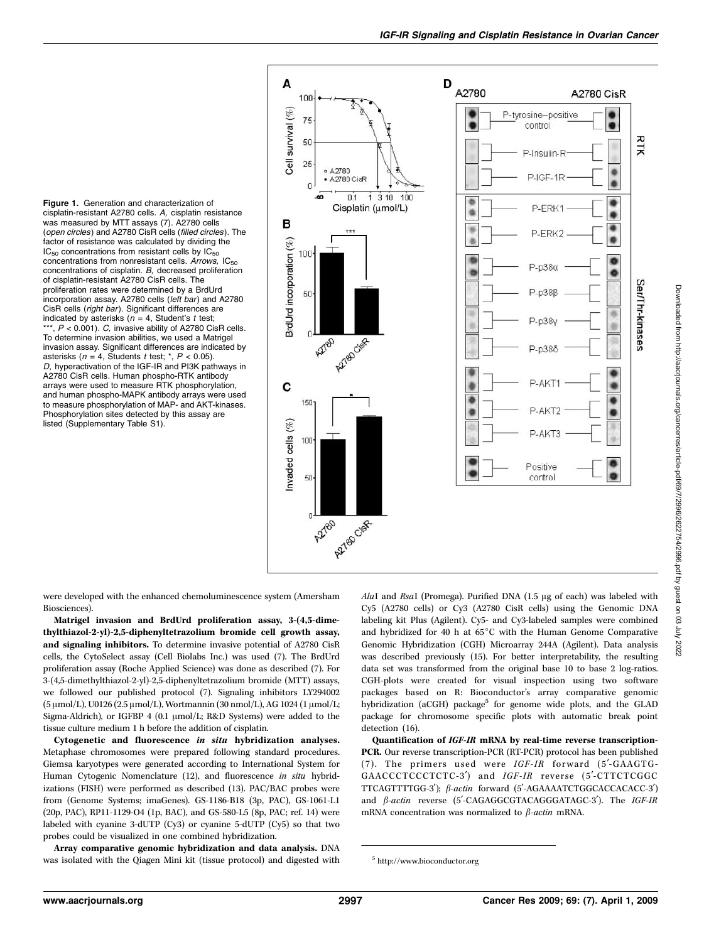Figure 1. Generation and characterization of cisplatin-resistant A2780 cells. A, cisplatin resistance was measured by MTT assays (7). A2780 cells (open circles) and A2780 CisR cells (filled circles). The factor of resistance was calculated by dividing the  $IC_{50}$  concentrations from resistant cells by  $IC_{50}$ concentrations from nonresistant cells. Arrows,  $IC_{50}$ concentrations of cisplatin. B, decreased proliferation of cisplatin-resistant A2780 CisR cells. The proliferation rates were determined by a BrdUrd incorporation assay. A2780 cells (left bar) and A2780 CisR cells (right bar). Significant differences are indicated by asterisks ( $n = 4$ , Student's t test;  $**$ ,  $P < 0.001$ ). C, invasive ability of A2780 CisR cells. To determine invasion abilities, we used a Matrigel invasion assay. Significant differences are indicated by asterisks ( $n = 4$ , Students t test; \*,  $P < 0.05$ ). D, hyperactivation of the IGF-IR and PI3K pathways in A2780 CisR cells. Human phospho-RTK antibody arrays were used to measure RTK phosphorylation, and human phospho-MAPK antibody arrays were used to measure phosphorylation of MAP- and AKT-kinases. Phosphorylation sites detected by this assay are listed (Supplementary Table S1).



were developed with the enhanced chemoluminescence system (Amersham Biosciences).

Matrigel invasion and BrdUrd proliferation assay, 3-(4,5-dimethylthiazol-2-yl)-2,5-diphenyltetrazolium bromide cell growth assay, and signaling inhibitors. To determine invasive potential of A2780 CisR cells, the CytoSelect assay (Cell Biolabs Inc.) was used (7). The BrdUrd proliferation assay (Roche Applied Science) was done as described (7). For 3-(4,5-dimethylthiazol-2-yl)-2,5-diphenyltetrazolium bromide (MTT) assays, we followed our published protocol (7). Signaling inhibitors LY294002 (5 μmol/L), U0126 (2.5 μmol/L), Wortmannin (30 nmol/L), AG 1024 (1 μmol/L; Sigma-Aldrich), or IGFBP 4 (0.1  $\mu$ mol/L; R&D Systems) were added to the tissue culture medium 1 h before the addition of cisplatin.

Cytogenetic and fluorescence in situ hybridization analyses. Metaphase chromosomes were prepared following standard procedures. Giemsa karyotypes were generated according to International System for Human Cytogenic Nomenclature (12), and fluorescence in situ hybridizations (FISH) were performed as described (13). PAC/BAC probes were from (Genome Systems; imaGenes). GS-1186-B18 (3p, PAC), GS-1061-L1 (20p, PAC), RP11-1129-O4 (1p, BAC), and GS-580-L5 (8p, PAC; ref. 14) were labeled with cyanine 3-dUTP (Cy3) or cyanine 5-dUTP (Cy5) so that two probes could be visualized in one combined hybridization.

Array comparative genomic hybridization and data analysis. DNA was isolated with the Qiagen Mini kit (tissue protocol) and digested with  $AluI$  and  $RsaI$  (Promega). Purified DNA (1.5  $\mu$ g of each) was labeled with Cy5 (A2780 cells) or Cy3 (A2780 CisR cells) using the Genomic DNA labeling kit Plus (Agilent). Cy5- and Cy3-labeled samples were combined and hybridized for 40 h at  $65^{\circ}$ C with the Human Genome Comparative Genomic Hybridization (CGH) Microarray 244A (Agilent). Data analysis was described previously (15). For better interpretability, the resulting data set was transformed from the original base 10 to base 2 log-ratios. CGH-plots were created for visual inspection using two software packages based on R: Bioconductor's array comparative genomic hybridization (aCGH) package<sup>5</sup> for genome wide plots, and the GLAD package for chromosome specific plots with automatic break point detection (16).

Quantification of IGF-IR mRNA by real-time reverse transcription-PCR. Our reverse transcription-PCR (RT-PCR) protocol has been published (7). The primers used were  $IGF-IR$  forward (5'-GAAGTG-GAACCCTCCCTCTC-3') and IGF-IR reverse (5'-CTTCTCGGC TTCAGTTTTGG-3');  $\beta$ -actin forward (5'-AGAAAATCTGGCACCACACC-3') and  $\beta$ -actin reverse (5'-CAGAGGCGTACAGGGATAGC-3'). The IGF-IR mRNA concentration was normalized to  $\beta$ -actin mRNA.

<sup>5</sup> http://www.bioconductor.org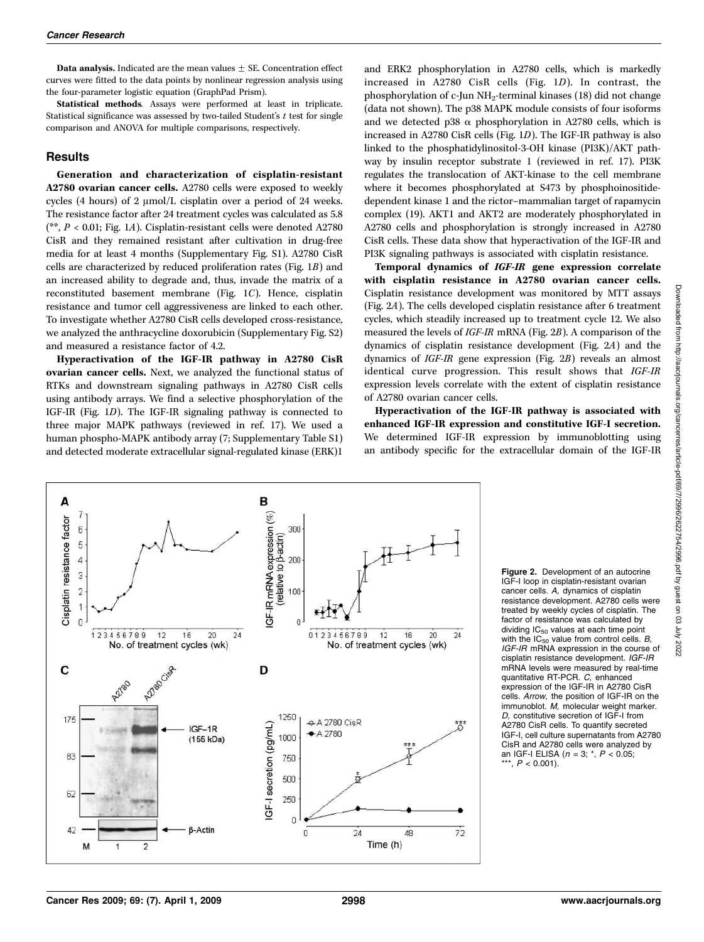**Data analysis.** Indicated are the mean values  $\pm$  SE. Concentration effect curves were fitted to the data points by nonlinear regression analysis using the four-parameter logistic equation (GraphPad Prism).

Statistical methods. Assays were performed at least in triplicate. Statistical significance was assessed by two-tailed Student's  $t$  test for single comparison and ANOVA for multiple comparisons, respectively.

#### Results

Generation and characterization of cisplatin-resistant A2780 ovarian cancer cells. A2780 cells were exposed to weekly cycles (4 hours) of 2  $\mu$ mol/L cisplatin over a period of 24 weeks. The resistance factor after 24 treatment cycles was calculated as 5.8 (\*\*,  $P < 0.01$ ; Fig. 1A). Cisplatin-resistant cells were denoted A2780 CisR and they remained resistant after cultivation in drug-free media for at least 4 months (Supplementary Fig. S1). A2780 CisR cells are characterized by reduced proliferation rates (Fig. 1B) and an increased ability to degrade and, thus, invade the matrix of a reconstituted basement membrane (Fig. 1C). Hence, cisplatin resistance and tumor cell aggressiveness are linked to each other. To investigate whether A2780 CisR cells developed cross-resistance, we analyzed the anthracycline doxorubicin (Supplementary Fig. S2) and measured a resistance factor of 4.2.

Hyperactivation of the IGF-IR pathway in A2780 CisR ovarian cancer cells. Next, we analyzed the functional status of RTKs and downstream signaling pathways in A2780 CisR cells using antibody arrays. We find a selective phosphorylation of the IGF-IR (Fig. 1D). The IGF-IR signaling pathway is connected to three major MAPK pathways (reviewed in ref. 17). We used a human phospho-MAPK antibody array (7; Supplementary Table S1) and detected moderate extracellular signal-regulated kinase (ERK)1

and ERK2 phosphorylation in A2780 cells, which is markedly increased in A2780 CisR cells (Fig. 1D). In contrast, the phosphorylation of c-Jun NH2-terminal kinases (18) did not change (data not shown). The p38 MAPK module consists of four isoforms and we detected p38  $\alpha$  phosphorylation in A2780 cells, which is increased in A2780 CisR cells (Fig. 1D). The IGF-IR pathway is also linked to the phosphatidylinositol-3-OH kinase (PI3K)/AKT pathway by insulin receptor substrate 1 (reviewed in ref. 17). PI3K regulates the translocation of AKT-kinase to the cell membrane where it becomes phosphorylated at S473 by phosphoinositidedependent kinase 1 and the rictor–mammalian target of rapamycin complex (19). AKT1 and AKT2 are moderately phosphorylated in A2780 cells and phosphorylation is strongly increased in A2780 CisR cells. These data show that hyperactivation of the IGF-IR and PI3K signaling pathways is associated with cisplatin resistance.

Temporal dynamics of IGF-IR gene expression correlate with cisplatin resistance in A2780 ovarian cancer cells. Cisplatin resistance development was monitored by MTT assays (Fig. 2A). The cells developed cisplatin resistance after 6 treatment cycles, which steadily increased up to treatment cycle 12. We also measured the levels of IGF-IR mRNA (Fig. 2B). A comparison of the dynamics of cisplatin resistance development (Fig. 2A) and the dynamics of IGF-IR gene expression (Fig. 2B) reveals an almost identical curve progression. This result shows that IGF-IR expression levels correlate with the extent of cisplatin resistance of A2780 ovarian cancer cells.

Hyperactivation of the IGF-IR pathway is associated with enhanced IGF-IR expression and constitutive IGF-I secretion. We determined IGF-IR expression by immunoblotting using an antibody specific for the extracellular domain of the IGF-IR



Figure 2. Development of an autocrine IGF-I loop in cisplatin-resistant ovarian cancer cells. A, dynamics of cisplatin resistance development. A2780 cells were treated by weekly cycles of cisplatin. The factor of resistance was calculated by dividing  $IC_{50}$  values at each time point with the  $IC_{50}$  value from control cells.  $B$ , IGF-IR mRNA expression in the course of cisplatin resistance development. IGF-IR mRNA levels were measured by real-time quantitative RT-PCR. C, enhanced expression of the IGF-IR in A2780 CisR cells. Arrow, the position of IGF-IR on the immunoblot. M, molecular weight marker. D, constitutive secretion of IGF-I from A2780 CisR cells. To quantify secreted IGF-I, cell culture supernatants from A2780 CisR and A2780 cells were analyzed by an IGF-I ELISA ( $n = 3$ ;  $^{*}$ ,  $P < 0.05$ ; \*\*\*,  $P < 0.001$ ).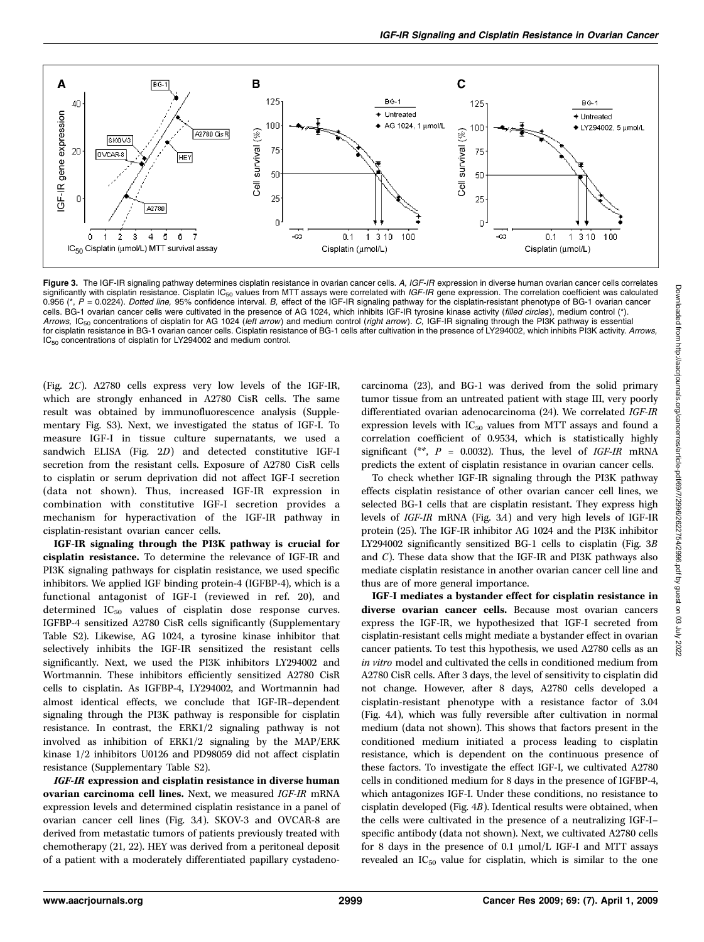

Figure 3. The IGF-IR signaling pathway determines cisplatin resistance in ovarian cancer cells. A, IGF-IR expression in diverse human ovarian cancer cells correlates significantly with cisplatin resistance. Cisplatin  $IC_{F0}$  values from MTT assays were correlated with IGF-IR gene expression. The correlation coefficient was calculated 0.956 (\*,  $\acute{P}$  = 0.0224). Dotted line, 95% confidence interval. B, effect of the IGF-IR signaling pathway for the cisplatin-resistant phenotype of BG-1 ovarian cancer cells. BG-1 ovarian cancer cells were cultivated in the presence of AG 1024, which inhibits IGF-IR tyrosine kinase activity (filled circles), medium control (\*). Arrows, IC<sub>50</sub> concentrations of cisplatin for AG 1024 (left arrow) and medium control (right arrow). C, IGF-IR signaling through the PI3K pathway is essential for cisplatin resistance in BG-1 ovarian cancer cells. Cisplatin resistance of BG-1 cells after cultivation in the presence of LY294002, which inhibits PI3K activity. Arrows, IC<sub>50</sub> concentrations of cisplatin for LY294002 and medium control.

(Fig. 2C). A2780 cells express very low levels of the IGF-IR, which are strongly enhanced in A2780 CisR cells. The same result was obtained by immunofluorescence analysis (Supplementary Fig. S3). Next, we investigated the status of IGF-I. To measure IGF-I in tissue culture supernatants, we used a sandwich ELISA (Fig. 2D) and detected constitutive IGF-I secretion from the resistant cells. Exposure of A2780 CisR cells to cisplatin or serum deprivation did not affect IGF-I secretion (data not shown). Thus, increased IGF-IR expression in combination with constitutive IGF-I secretion provides a mechanism for hyperactivation of the IGF-IR pathway in cisplatin-resistant ovarian cancer cells.

IGF-IR signaling through the PI3K pathway is crucial for cisplatin resistance. To determine the relevance of IGF-IR and PI3K signaling pathways for cisplatin resistance, we used specific inhibitors. We applied IGF binding protein-4 (IGFBP-4), which is a functional antagonist of IGF-I (reviewed in ref. 20), and determined IC<sub>50</sub> values of cisplatin dose response curves. IGFBP-4 sensitized A2780 CisR cells significantly (Supplementary Table S2). Likewise, AG 1024, a tyrosine kinase inhibitor that selectively inhibits the IGF-IR sensitized the resistant cells significantly. Next, we used the PI3K inhibitors LY294002 and Wortmannin. These inhibitors efficiently sensitized A2780 CisR cells to cisplatin. As IGFBP-4, LY294002, and Wortmannin had almost identical effects, we conclude that IGF-IR–dependent signaling through the PI3K pathway is responsible for cisplatin resistance. In contrast, the ERK1/2 signaling pathway is not involved as inhibition of ERK1/2 signaling by the MAP/ERK kinase 1/2 inhibitors U0126 and PD98059 did not affect cisplatin resistance (Supplementary Table S2).

IGF-IR expression and cisplatin resistance in diverse human ovarian carcinoma cell lines. Next, we measured IGF-IR mRNA expression levels and determined cisplatin resistance in a panel of ovarian cancer cell lines (Fig. 3A). SKOV-3 and OVCAR-8 are derived from metastatic tumors of patients previously treated with chemotherapy (21, 22). HEY was derived from a peritoneal deposit of a patient with a moderately differentiated papillary cystadenocarcinoma (23), and BG-1 was derived from the solid primary tumor tissue from an untreated patient with stage III, very poorly differentiated ovarian adenocarcinoma (24). We correlated IGF-IR expression levels with  $IC_{50}$  values from MTT assays and found a correlation coefficient of 0.9534, which is statistically highly significant (\*\*,  $P = 0.0032$ ). Thus, the level of IGF-IR mRNA predicts the extent of cisplatin resistance in ovarian cancer cells.

To check whether IGF-IR signaling through the PI3K pathway effects cisplatin resistance of other ovarian cancer cell lines, we selected BG-1 cells that are cisplatin resistant. They express high levels of IGF-IR mRNA (Fig. 3A) and very high levels of IGF-IR protein (25). The IGF-IR inhibitor AG 1024 and the PI3K inhibitor LY294002 significantly sensitized BG-1 cells to cisplatin (Fig. 3B and C). These data show that the IGF-IR and PI3K pathways also mediate cisplatin resistance in another ovarian cancer cell line and thus are of more general importance.

IGF-I mediates a bystander effect for cisplatin resistance in diverse ovarian cancer cells. Because most ovarian cancers express the IGF-IR, we hypothesized that IGF-I secreted from cisplatin-resistant cells might mediate a bystander effect in ovarian cancer patients. To test this hypothesis, we used A2780 cells as an in vitro model and cultivated the cells in conditioned medium from A2780 CisR cells. After 3 days, the level of sensitivity to cisplatin did not change. However, after 8 days, A2780 cells developed a cisplatin-resistant phenotype with a resistance factor of 3.04 (Fig. 4A), which was fully reversible after cultivation in normal medium (data not shown). This shows that factors present in the conditioned medium initiated a process leading to cisplatin resistance, which is dependent on the continuous presence of these factors. To investigate the effect IGF-I, we cultivated A2780 cells in conditioned medium for 8 days in the presence of IGFBP-4, which antagonizes IGF-I. Under these conditions, no resistance to cisplatin developed (Fig. 4B). Identical results were obtained, when the cells were cultivated in the presence of a neutralizing IGF-I– specific antibody (data not shown). Next, we cultivated A2780 cells for 8 days in the presence of 0.1  $\mu$ mol/L IGF-I and MTT assays revealed an  $IC_{50}$  value for cisplatin, which is similar to the one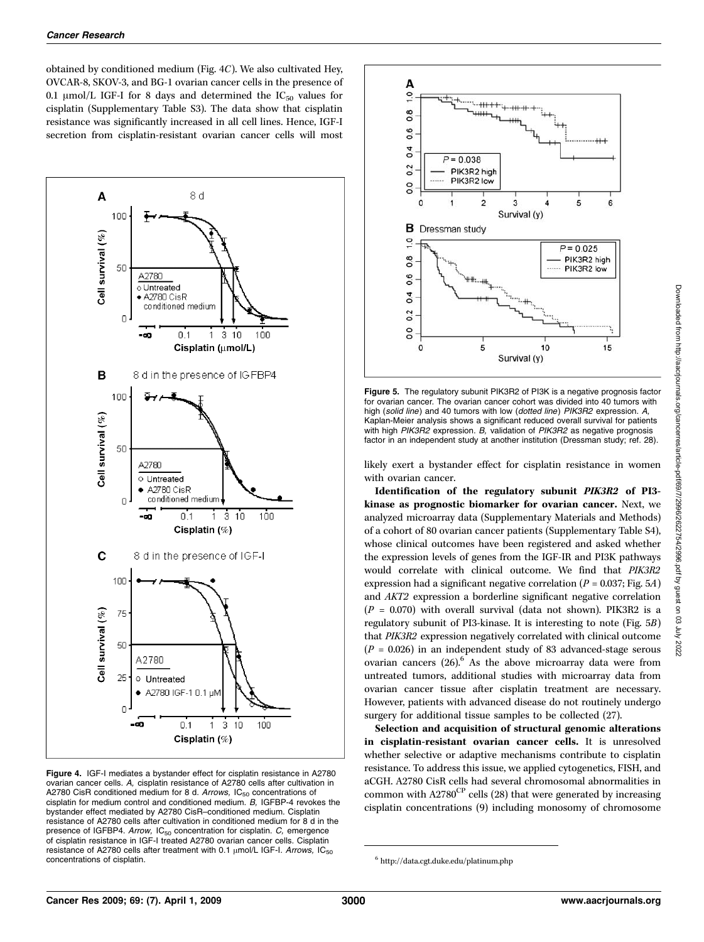obtained by conditioned medium (Fig. 4C). We also cultivated Hey, OVCAR-8, SKOV-3, and BG-1 ovarian cancer cells in the presence of 0.1  $\mu$ mol/L IGF-I for 8 days and determined the IC<sub>50</sub> values for cisplatin (Supplementary Table S3). The data show that cisplatin resistance was significantly increased in all cell lines. Hence, IGF-I secretion from cisplatin-resistant ovarian cancer cells will most



Figure 4. IGF-I mediates a bystander effect for cisplatin resistance in A2780 ovarian cancer cells. A, cisplatin resistance of A2780 cells after cultivation in A2780 CisR conditioned medium for 8 d. Arrows,  $IC_{50}$  concentrations of cisplatin for medium control and conditioned medium. B, IGFBP-4 revokes the bystander effect mediated by A2780 CisR–conditioned medium. Cisplatin resistance of A2780 cells after cultivation in conditioned medium for 8 d in the presence of IGFBP4. Arrow,  $IC_{50}$  concentration for cisplatin.  $C$ , emergence of cisplatin resistance in IGF-I treated A2780 ovarian cancer cells. Cisplatin resistance of A2780 cells after treatment with 0.1  $\mu$ mol/L IGF-I. Arrows, IC<sub>50</sub> concentrations of cisplatin.



Figure 5. The regulatory subunit PIK3R2 of PI3K is a negative prognosis factor for ovarian cancer. The ovarian cancer cohort was divided into 40 tumors with high (solid line) and 40 tumors with low (dotted line) PIK3R2 expression. A, Kaplan-Meier analysis shows a significant reduced overall survival for patients with high PIK3R2 expression. B, validation of PIK3R2 as negative prognosis factor in an independent study at another institution (Dressman study; ref. 28).

likely exert a bystander effect for cisplatin resistance in women with ovarian cancer.

Identification of the regulatory subunit PIK3R2 of PI3 kinase as prognostic biomarker for ovarian cancer. Next, we analyzed microarray data (Supplementary Materials and Methods) of a cohort of 80 ovarian cancer patients (Supplementary Table S4), whose clinical outcomes have been registered and asked whether the expression levels of genes from the IGF-IR and PI3K pathways would correlate with clinical outcome. We find that PIK3R2 expression had a significant negative correlation ( $P = 0.037$ ; Fig. 5A) and AKT2 expression a borderline significant negative correlation  $(P = 0.070)$  with overall survival (data not shown). PIK3R2 is a regulatory subunit of PI3-kinase. It is interesting to note (Fig. 5B) that PIK3R2 expression negatively correlated with clinical outcome  $(P = 0.026)$  in an independent study of 83 advanced-stage serous ovarian cancers  $(26)$ .<sup>6</sup> As the above microarray data were from untreated tumors, additional studies with microarray data from ovarian cancer tissue after cisplatin treatment are necessary. However, patients with advanced disease do not routinely undergo surgery for additional tissue samples to be collected (27).

Selection and acquisition of structural genomic alterations in cisplatin-resistant ovarian cancer cells. It is unresolved whether selective or adaptive mechanisms contribute to cisplatin resistance. To address this issue, we applied cytogenetics, FISH, and aCGH. A2780 CisR cells had several chromosomal abnormalities in common with  $A2780^{\text{CP}}$  cells (28) that were generated by increasing cisplatin concentrations (9) including monosomy of chromosome

<sup>6</sup> http://data.cgt.duke.edu/platinum.php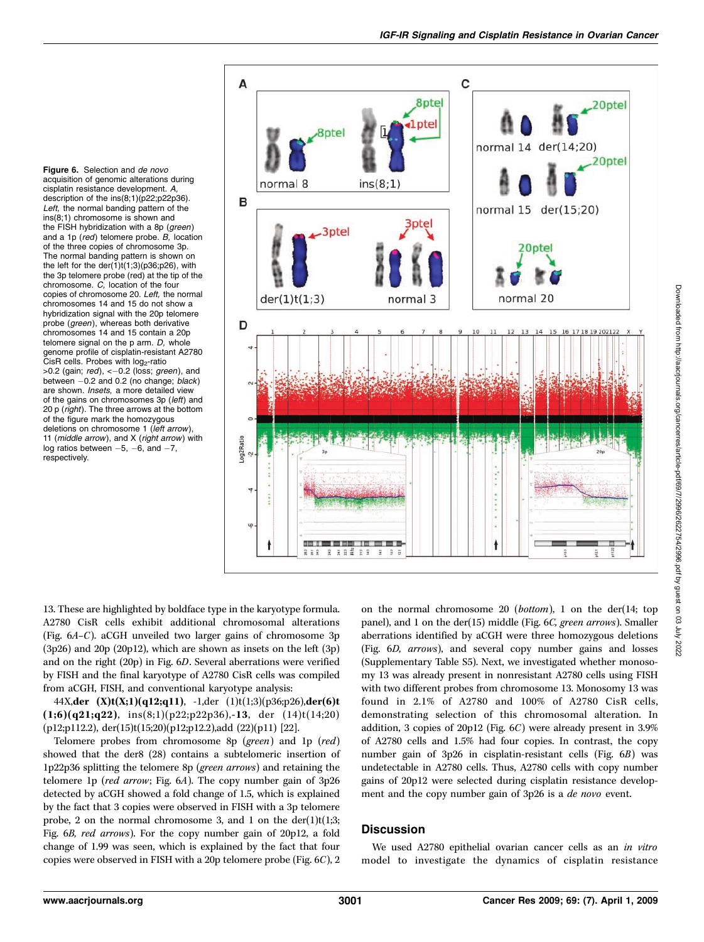Figure 6. Selection and de novo acquisition of genomic alterations during cisplatin resistance development. A, description of the ins(8;1)(p22;p22p36). Left, the normal banding pattern of the  $ins(8;1)$  chromosome is shown and the FISH hybridization with a 8p (green) and a 1p ( $red$ ) telomere probe. B, location of the three copies of chromosome 3p. The normal banding pattern is shown on the left for the der(1)t(1;3)(p36;p26), with the 3p telomere probe (red) at the tip of the chromosome. C, location of the four copies of chromosome 20. Left, the normal chromosomes 14 and 15 do not show a hybridization signal with the 20p telomere probe (green), whereas both derivative chromosomes 14 and 15 contain a 20p telomere signal on the  $p$  arm.  $D$ , whole genome profile of cisplatin-resistant A2780  $ČisR$  cells. Probes with  $log<sub>2</sub>$ -ratio  $>0.2$  (gain; red),  $<-0.2$  (loss; green), and between  $-0.2$  and 0.2 (no change; black) are shown. Insets, a more detailed view of the gains on chromosomes 3p (left) and 20 p (right). The three arrows at the bottom of the figure mark the homozygous deletions on chromosome 1 (left arrow), 11 ( $middle\ arrow$ ), and X ( $right\ arrow$ ) with log ratios between  $-5$ ,  $-6$ , and  $-7$ , respectively.



13. These are highlighted by boldface type in the karyotype formula. A2780 CisR cells exhibit additional chromosomal alterations (Fig.  $6A-C$ ). aCGH unveiled two larger gains of chromosome 3p (3p26) and 20p (20p12), which are shown as insets on the left (3p) and on the right (20p) in Fig. 6D. Several aberrations were verified by FISH and the final karyotype of A2780 CisR cells was compiled from aCGH, FISH, and conventional karyotype analysis:

44X,der  $(X)t(X;1)(q12;q11)$ , -1,der  $(1)t(1;3)(p36;p26)$ ,der $(6)t$  $(1;6)(q21;q22)$ , ins $(8;1)(p22;p22p36)$ ,-13, der  $(14)t(14;20)$ (p12;p112.2), der(15)t(15;20)(p12;p12.2),add (22)(p11) [22].

Telomere probes from chromosome 8p (green) and 1p (red) showed that the der8 (28) contains a subtelomeric insertion of 1p22p36 splitting the telomere 8p (green arrows) and retaining the telomere 1p (red arrow; Fig. 6A). The copy number gain of 3p26 detected by aCGH showed a fold change of 1.5, which is explained by the fact that 3 copies were observed in FISH with a 3p telomere probe, 2 on the normal chromosome 3, and 1 on the der(1)t(1;3; Fig. 6B, red arrows). For the copy number gain of 20p12, a fold change of 1.99 was seen, which is explained by the fact that four copies were observed in FISH with a 20p telomere probe (Fig.  $6C$ ), 2 on the normal chromosome  $20$  (*bottom*), 1 on the der(14; top panel), and 1 on the der(15) middle (Fig. 6C, green arrows). Smaller aberrations identified by aCGH were three homozygous deletions (Fig. 6D, arrows), and several copy number gains and losses (Supplementary Table S5). Next, we investigated whether monosomy 13 was already present in nonresistant A2780 cells using FISH with two different probes from chromosome 13. Monosomy 13 was found in 2.1% of A2780 and 100% of A2780 CisR cells, demonstrating selection of this chromosomal alteration. In addition, 3 copies of 20p12 (Fig. 6C) were already present in 3.9% of A2780 cells and 1.5% had four copies. In contrast, the copy number gain of 3p26 in cisplatin-resistant cells (Fig. 6B) was undetectable in A2780 cells. Thus, A2780 cells with copy number gains of 20p12 were selected during cisplatin resistance development and the copy number gain of 3p26 is a de novo event.

## **Discussion**

We used A2780 epithelial ovarian cancer cells as an in vitro model to investigate the dynamics of cisplatin resistance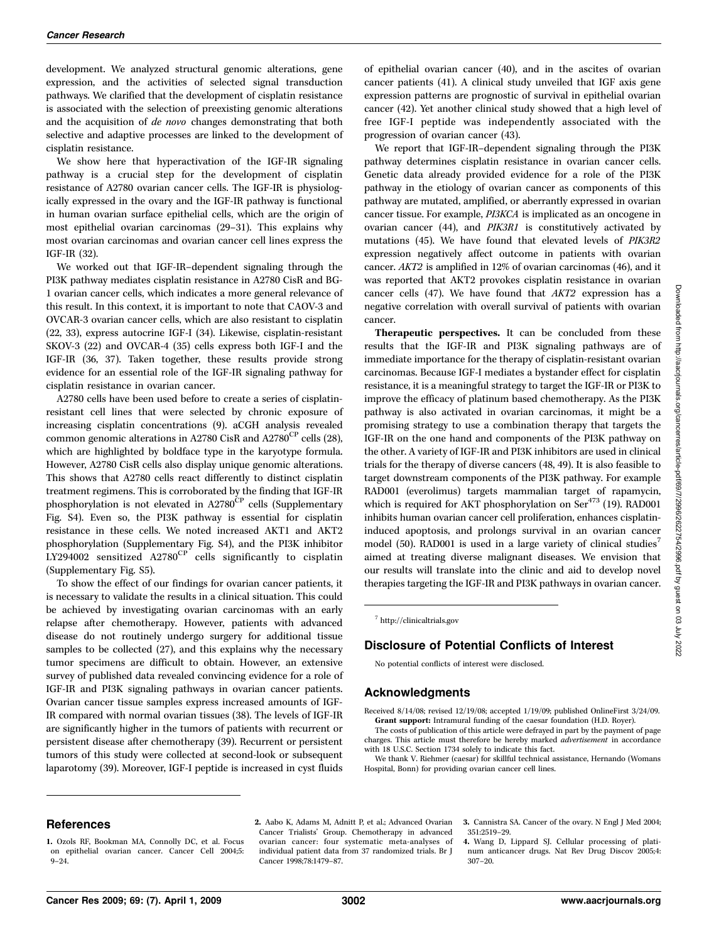development. We analyzed structural genomic alterations, gene expression, and the activities of selected signal transduction pathways. We clarified that the development of cisplatin resistance is associated with the selection of preexisting genomic alterations and the acquisition of de novo changes demonstrating that both selective and adaptive processes are linked to the development of cisplatin resistance.

We show here that hyperactivation of the IGF-IR signaling pathway is a crucial step for the development of cisplatin resistance of A2780 ovarian cancer cells. The IGF-IR is physiologically expressed in the ovary and the IGF-IR pathway is functional in human ovarian surface epithelial cells, which are the origin of most epithelial ovarian carcinomas (29–31). This explains why most ovarian carcinomas and ovarian cancer cell lines express the IGF-IR (32).

We worked out that IGF-IR–dependent signaling through the PI3K pathway mediates cisplatin resistance in A2780 CisR and BG-1 ovarian cancer cells, which indicates a more general relevance of this result. In this context, it is important to note that CAOV-3 and OVCAR-3 ovarian cancer cells, which are also resistant to cisplatin (22, 33), express autocrine IGF-I (34). Likewise, cisplatin-resistant SKOV-3 (22) and OVCAR-4 (35) cells express both IGF-I and the IGF-IR (36, 37). Taken together, these results provide strong evidence for an essential role of the IGF-IR signaling pathway for cisplatin resistance in ovarian cancer.

A2780 cells have been used before to create a series of cisplatinresistant cell lines that were selected by chronic exposure of increasing cisplatin concentrations (9). aCGH analysis revealed common genomic alterations in A2780 CisR and A2780<sup>CP</sup> cells (28), which are highlighted by boldface type in the karyotype formula. However, A2780 CisR cells also display unique genomic alterations. This shows that A2780 cells react differently to distinct cisplatin treatment regimens. This is corroborated by the finding that IGF-IR phosphorylation is not elevated in  $A2780^{\rm CP}$  cells (Supplementary Fig. S4). Even so, the PI3K pathway is essential for cisplatin resistance in these cells. We noted increased AKT1 and AKT2 phosphorylation (Supplementary Fig. S4), and the PI3K inhibitor LY294002 sensitized  $A2780^{\text{CP}}$  cells significantly to cisplatin (Supplementary Fig. S5).

To show the effect of our findings for ovarian cancer patients, it is necessary to validate the results in a clinical situation. This could be achieved by investigating ovarian carcinomas with an early relapse after chemotherapy. However, patients with advanced disease do not routinely undergo surgery for additional tissue samples to be collected (27), and this explains why the necessary tumor specimens are difficult to obtain. However, an extensive survey of published data revealed convincing evidence for a role of IGF-IR and PI3K signaling pathways in ovarian cancer patients. Ovarian cancer tissue samples express increased amounts of IGF-IR compared with normal ovarian tissues (38). The levels of IGF-IR are significantly higher in the tumors of patients with recurrent or persistent disease after chemotherapy (39). Recurrent or persistent tumors of this study were collected at second-look or subsequent laparotomy (39). Moreover, IGF-I peptide is increased in cyst fluids

of epithelial ovarian cancer (40), and in the ascites of ovarian cancer patients (41). A clinical study unveiled that IGF axis gene expression patterns are prognostic of survival in epithelial ovarian cancer (42). Yet another clinical study showed that a high level of free IGF-I peptide was independently associated with the progression of ovarian cancer (43).

We report that IGF-IR–dependent signaling through the PI3K pathway determines cisplatin resistance in ovarian cancer cells. Genetic data already provided evidence for a role of the PI3K pathway in the etiology of ovarian cancer as components of this pathway are mutated, amplified, or aberrantly expressed in ovarian cancer tissue. For example, PI3KCA is implicated as an oncogene in ovarian cancer (44), and PIK3R1 is constitutively activated by mutations (45). We have found that elevated levels of PIK3R2 expression negatively affect outcome in patients with ovarian cancer. AKT2 is amplified in 12% of ovarian carcinomas (46), and it was reported that AKT2 provokes cisplatin resistance in ovarian cancer cells (47). We have found that AKT2 expression has a negative correlation with overall survival of patients with ovarian cancer.

Therapeutic perspectives. It can be concluded from these results that the IGF-IR and PI3K signaling pathways are of immediate importance for the therapy of cisplatin-resistant ovarian carcinomas. Because IGF-I mediates a bystander effect for cisplatin resistance, it is a meaningful strategy to target the IGF-IR or PI3K to improve the efficacy of platinum based chemotherapy. As the PI3K pathway is also activated in ovarian carcinomas, it might be a promising strategy to use a combination therapy that targets the IGF-IR on the one hand and components of the PI3K pathway on the other. A variety of IGF-IR and PI3K inhibitors are used in clinical trials for the therapy of diverse cancers (48, 49). It is also feasible to target downstream components of the PI3K pathway. For example RAD001 (everolimus) targets mammalian target of rapamycin, which is required for AKT phosphorylation on Ser<sup>473</sup> (19). RAD001 inhibits human ovarian cancer cell proliferation, enhances cisplatininduced apoptosis, and prolongs survival in an ovarian cancer model (50). RAD001 is used in a large variety of clinical studies<sup>7</sup> aimed at treating diverse malignant diseases. We envision that our results will translate into the clinic and aid to develop novel therapies targeting the IGF-IR and PI3K pathways in ovarian cancer.

<sup>7</sup> http://clinicaltrials.gov

## Disclosure of Potential Conflicts of Interest

No potential conflicts of interest were disclosed.

#### Acknowledgments

Received 8/14/08; revised 12/19/08; accepted 1/19/09; published OnlineFirst 3/24/09. Grant support: Intramural funding of the caesar foundation (H.D. Royer).

The costs of publication of this article were defrayed in part by the payment of page charges. This article must therefore be hereby marked *advertisement* in accordance with 18 U.S.C. Section 1734 solely to indicate this fact.

We thank V. Riehmer (caesar) for skillful technical assistance, Hernando (Womans Hospital, Bonn) for providing ovarian cancer cell lines.

#### References

2. Aabo K, Adams M, Adnitt P, et al.; Advanced Ovarian Cancer Trialists' Group. Chemotherapy in advanced ovarian cancer: four systematic meta-analyses of individual patient data from 37 randomized trials. Br J Cancer 1998;78:1479–87.

3. Cannistra SA. Cancer of the ovary. N Engl J Med 2004; 351:2519–29.

4. Wang D, Lippard SJ. Cellular processing of platinum anticancer drugs. Nat Rev Drug Discov 2005;4: 307–20.

<sup>1.</sup> Ozols RF, Bookman MA, Connolly DC, et al. Focus on epithelial ovarian cancer. Cancer Cell 2004;5: 9–24.